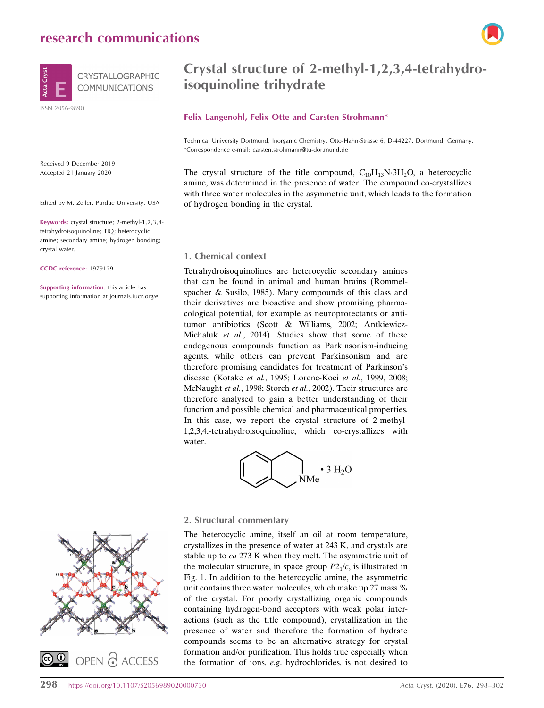

Received 9 December 2019 Accepted 21 January 2020

Edited by M. Zeller, Purdue University, USA

Keywords: crystal structure; 2-methyl-1,2,3,4 tetrahydroisoquinoline; TIQ; heterocyclic amine; secondary amine; hydrogen bonding; crystal water.

CCDC reference: 1979129

Supporting information: this article has supporting information at journals.iucr.org/e

# Crystal structure of 2-methyl-1,2,3,4-tetrahydroisoquinoline trihydrate

### Felix Langenohl, Felix Otte and Carsten Strohmann\*

Technical University Dortmund, Inorganic Chemistry, Otto-Hahn-Strasse 6, D-44227, Dortmund, Germany. \*Correspondence e-mail: carsten.strohmann@tu-dortmund.de

The crystal structure of the title compound,  $C_{10}H_{13}N \cdot 3H_2O$ , a heterocyclic amine, was determined in the presence of water. The compound co-crystallizes with three water molecules in the asymmetric unit, which leads to the formation of hydrogen bonding in the crystal.

### 1. Chemical context

Tetrahydroisoquinolines are heterocyclic secondary amines that can be found in animal and human brains (Rommelspacher & Susilo, 1985). Many compounds of this class and their derivatives are bioactive and show promising pharmacological potential, for example as neuroprotectants or antitumor antibiotics (Scott & Williams, 2002; Antkiewicz-Michaluk et al., 2014). Studies show that some of these endogenous compounds function as Parkinsonism-inducing agents, while others can prevent Parkinsonism and are therefore promising candidates for treatment of Parkinson's disease (Kotake et al., 1995; Lorenc-Koci et al., 1999, 2008; McNaught et al., 1998; Storch et al., 2002). Their structures are therefore analysed to gain a better understanding of their function and possible chemical and pharmaceutical properties. In this case, we report the crystal structure of 2-methyl-1,2,3,4,-tetrahydroisoquinoline, which co-crystallizes with water.





### 2. Structural commentary

The heterocyclic amine, itself an oil at room temperature, crystallizes in the presence of water at 243 K, and crystals are stable up to ca 273 K when they melt. The asymmetric unit of the molecular structure, in space group  $P2<sub>1</sub>/c$ , is illustrated in Fig. 1. In addition to the heterocyclic amine, the asymmetric unit contains three water molecules, which make up 27 mass % of the crystal. For poorly crystallizing organic compounds containing hydrogen-bond acceptors with weak polar interactions (such as the title compound), crystallization in the presence of water and therefore the formation of hydrate compounds seems to be an alternative strategy for crystal formation and/or purification. This holds true especially when the formation of ions, e.g. hydrochlorides, is not desired to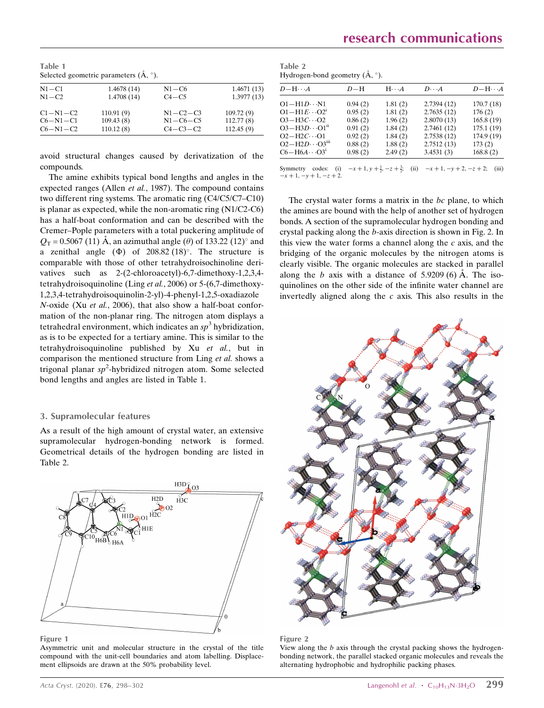| Table 1                                          |  |
|--------------------------------------------------|--|
| Selected geometric parameters $(\AA, \degree)$ . |  |

| $N1 - C1$  | 1.4678(14) | $N1 - C6$      | 1.4671(13) |
|------------|------------|----------------|------------|
| $N1 - C2$  | 1.4708(14) | $C4 - C5$      | 1.3977(13) |
| $C1-N1-C2$ | 110.91(9)  | $N1 - C2 - C3$ | 109.72(9)  |
| $C6-N1-C1$ | 109.43(8)  | $N1 - C6 - C5$ | 112.77(8)  |
| $C6-N1-C2$ | 110.12(8)  | $C4 - C3 - C2$ | 112.45(9)  |

avoid structural changes caused by derivatization of the compounds.

The amine exhibits typical bond lengths and angles in the expected ranges (Allen et al., 1987). The compound contains two different ring systems. The aromatic ring (C4/C5/C7–C10) is planar as expected, while the non-aromatic ring (N1/C2-C6) has a half-boat conformation and can be described with the Cremer–Pople parameters with a total puckering amplitude of  $Q_T$  = 0.5067 (11) Å, an azimuthal angle ( $\theta$ ) of 133.22 (12)° and a zenithal angle  $(\Phi)$  of 208.82  $(18)^\circ$ . The structure is comparable with those of other tetrahydroisochinoline derivatives such as 2-(2-chloroacetyl)-6,7-dimethoxy-1,2,3,4 tetrahydroisoquinoline (Ling et al., 2006) or 5-(6,7-dimethoxy-1,2,3,4-tetrahydroisoquinolin-2-yl)-4-phenyl-1,2,5-oxadiazole N-oxide (Xu et al., 2006), that also show a half-boat conformation of the non-planar ring. The nitrogen atom displays a tetrahedral environment, which indicates an  $sp<sup>3</sup>$  hybridization, as is to be expected for a tertiary amine. This is similar to the tetrahydroisoquinoline published by Xu et al., but in comparison the mentioned structure from Ling et al. shows a trigonal planar  $sp^2$ -hybridized nitrogen atom. Some selected bond lengths and angles are listed in Table 1.

## 3. Supramolecular features

As a result of the high amount of crystal water, an extensive supramolecular hydrogen-bonding network is formed. Geometrical details of the hydrogen bonding are listed in Table 2.



### Figure 1

Asymmetric unit and molecular structure in the crystal of the title compound with the unit-cell boundaries and atom labelling. Displacement ellipsoids are drawn at the 50% probability level.

Table 2 Hydrogen-bond geometry  $(\AA, \degree)$ .

| $D-\mathrm{H}\cdots A$              | $D-H$   | $H \cdot \cdot \cdot A$ | $D\cdots A$ | $D-\mathrm{H}\cdots A$ |
|-------------------------------------|---------|-------------------------|-------------|------------------------|
| $O1 - H1D \cdots N1$                | 0.94(2) | 1.81(2)                 | 2.7394(12)  | 170.7(18)              |
| $O1 - H1E \cdot O2^1$               | 0.95(2) | 1.81(2)                 | 2.7635(12)  | 176(2)                 |
| $O3 - H3C \cdot O2$                 | 0.86(2) | 1.96(2)                 | 2.8070(13)  | 165.8(19)              |
| $O3 - H3D \cdot \cdot \cdot O1^{n}$ | 0.91(2) | 1.84(2)                 | 2.7461(12)  | 175.1(19)              |
| $O2-H2C \cdot O1$                   | 0.92(2) | 1.84(2)                 | 2.7538(12)  | 174.9 (19)             |
| $O2-H2D\cdots O3iii$                | 0.88(2) | 1.88(2)                 | 2.7512(13)  | 173(2)                 |
| $C6 - H6A \cdots O3^1$              | 0.98(2) | 2.49(2)                 | 3.4531(3)   | 168.8(2)               |
|                                     |         |                         |             |                        |

Symmetry codes: (i)  $-x+1, y+\frac{1}{2}, -z+\frac{3}{2}$ ; (ii)  $-x+1, -y+2, -z+2$ ; (iii)  $-x + 1, -y + 1, -z + 2.$ 

The crystal water forms a matrix in the bc plane, to which the amines are bound with the help of another set of hydrogen bonds. A section of the supramolecular hydrogen bonding and crystal packing along the b-axis direction is shown in Fig. 2. In this view the water forms a channel along the  $c$  axis, and the bridging of the organic molecules by the nitrogen atoms is clearly visible. The organic molecules are stacked in parallel along the b axis with a distance of  $5.9209(6)$  Å. The isoquinolines on the other side of the infinite water channel are invertedly aligned along the  $c$  axis. This also results in the



#### Figure 2

View along the b axis through the crystal packing shows the hydrogenbonding network, the parallel stacked organic molecules and reveals the alternating hydrophobic and hydrophilic packing phases.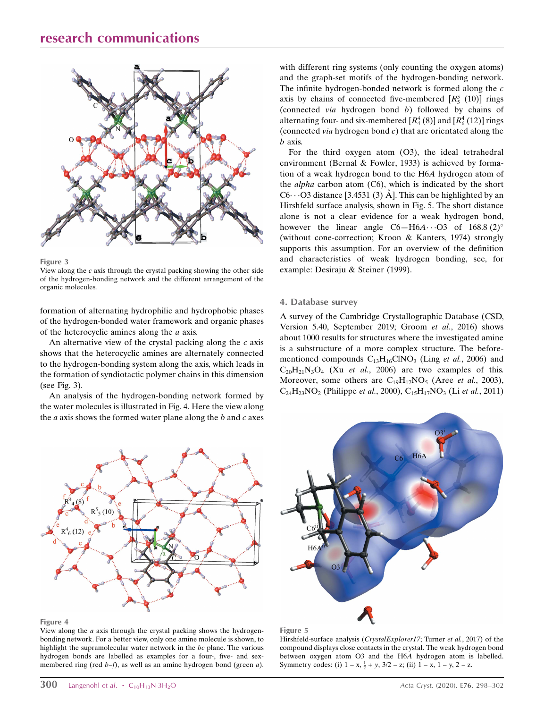

Figure 3

View along the  $c$  axis through the crystal packing showing the other side of the hydrogen-bonding network and the different arrangement of the organic molecules.

formation of alternating hydrophilic and hydrophobic phases of the hydrogen-bonded water framework and organic phases of the heterocyclic amines along the a axis.

An alternative view of the crystal packing along the  $c$  axis shows that the heterocyclic amines are alternately connected to the hydrogen-bonding system along the axis, which leads in the formation of syndiotactic polymer chains in this dimension (see Fig. 3).

An analysis of the hydrogen-bonding network formed by the water molecules is illustrated in Fig. 4. Here the view along the  $a$  axis shows the formed water plane along the  $b$  and  $c$  axes with different ring systems (only counting the oxygen atoms) and the graph-set motifs of the hydrogen-bonding network. The infinite hydrogen-bonded network is formed along the c axis by chains of connected five-membered  $[R_5^5 (10)]$  rings (connected via hydrogen bond b) followed by chains of alternating four- and six-membered  $[R_4^4(8)]$  and  $[R_6^4(12)]$  rings (connected *via* hydrogen bond  $c$ ) that are orientated along the b axis.

For the third oxygen atom (O3), the ideal tetrahedral environment (Bernal & Fowler, 1933) is achieved by formation of a weak hydrogen bond to the H6A hydrogen atom of the *alpha* carbon atom  $(C6)$ , which is indicated by the short C6 $\cdot \cdot$  O3 distance [3.4531 (3) Å]. This can be highlighted by an Hirshfeld surface analysis, shown in Fig. 5. The short distance alone is not a clear evidence for a weak hydrogen bond, however the linear angle  $C6 - H6A \cdots O3$  of  $168.8 \,(2)^{\circ}$ (without cone-correction; Kroon & Kanters, 1974) strongly supports this assumption. For an overview of the definition and characteristics of weak hydrogen bonding, see, for example: Desiraju & Steiner (1999).

### 4. Database survey

A survey of the Cambridge Crystallographic Database (CSD, Version 5.40, September 2019; Groom et al., 2016) shows about 1000 results for structures where the investigated amine is a substructure of a more complex structure. The beforementioned compounds  $C_{13}H_{16}CINO_3$  (Ling et al., 2006) and  $C_{20}H_{21}N_3O_4$  (Xu *et al.*, 2006) are two examples of this. Moreover, some others are  $C_{19}H_{17}NO_5$  (Aree *et al.*, 2003),  $C_{24}H_{23}NO_2$  (Philippe *et al.*, 2000),  $C_{15}H_{17}NO_3$  (Li *et al.*, 2011)



#### Figure 4

View along the  $a$  axis through the crystal packing shows the hydrogenbonding network. For a better view, only one amine molecule is shown, to highlight the supramolecular water network in the bc plane. The various hydrogen bonds are labelled as examples for a four-, five- and sexmembered ring (red  $b-f$ ), as well as an amine hydrogen bond (green  $a$ ).





Hirshfeld-surface analysis (CrystalExplorer17; Turner et al., 2017) of the compound displays close contacts in the crystal. The weak hydrogen bond between oxygen atom O3 and the H6A hydrogen atom is labelled. Symmetry codes: (i)  $1 - x$ ,  $\frac{1}{2} + y$ ,  $3/2 - z$ ; (ii)  $1 - x$ ,  $1 - y$ ,  $2 - z$ .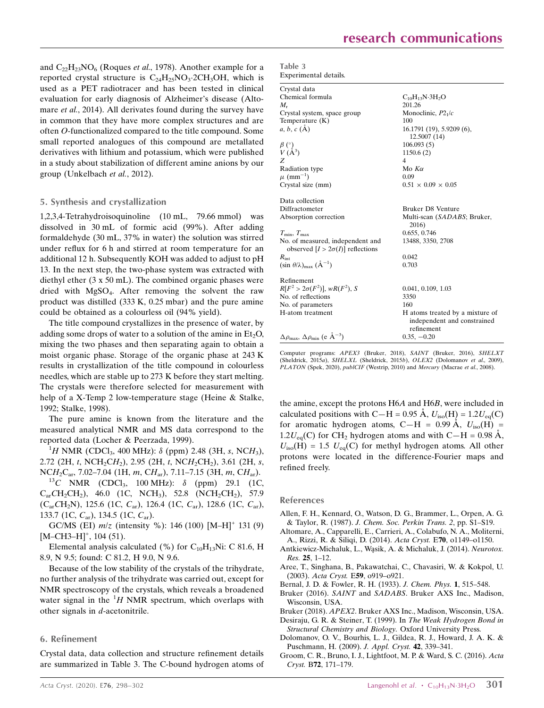and  $C_{22}H_{23}NO_6$  (Roques *et al.*, 1978). Another example for a reported crystal structure is  $C_{24}H_{25}NO_3.2CH_3OH$ , which is used as a PET radiotracer and has been tested in clinical evaluation for early diagnosis of Alzheimer's disease (Altomare *et al.*, 2014). All derivates found during the survey have in common that they have more complex structures and are often O-functionalized compared to the title compound. Some small reported analogues of this compound are metallated derivatives with lithium and potassium, which were published in a study about stabilization of different amine anions by our group (Unkelbach et al., 2012).

### 5. Synthesis and crystallization

1,2,3,4-Tetrahydroisoquinoline (10 mL, 79.66 mmol) was dissolved in 30 mL of formic acid (99%). After adding formaldehyde (30 mL, 37% in water) the solution was stirred under reflux for 6 h and stirred at room temperature for an additional 12 h. Subsequently KOH was added to adjust to pH 13. In the next step, the two-phase system was extracted with diethyl ether (3 x 50 mL). The combined organic phases were dried with MgSO4. After removing the solvent the raw product was distilled (333 K, 0.25 mbar) and the pure amine could be obtained as a colourless oil (94% yield).

The title compound crystallizes in the presence of water, by adding some drops of water to a solution of the amine in  $Et<sub>2</sub>O$ , mixing the two phases and then separating again to obtain a moist organic phase. Storage of the organic phase at 243 K results in crystallization of the title compound in colourless needles, which are stable up to 273 K before they start melting. The crystals were therefore selected for measurement with help of a X-Temp 2 low-temperature stage (Heine & Stalke, 1992; Stalke, 1998).

The pure amine is known from the literature and the measured analytical NMR and MS data correspond to the reported data (Locher & Peerzada, 1999).

 ${}^{1}H$  NMR (CDCl<sub>3</sub>, 400 MHz):  $\delta$  (ppm) 2.48 (3H, s, NCH<sub>3</sub>), 2.72 (2H, t, NCH<sub>2</sub>CH<sub>2</sub>), 2.95 (2H, t, NCH<sub>2</sub>CH<sub>2</sub>), 3.61 (2H, s, NCH<sub>2</sub>C<sub>ar</sub>, 7.02–7.04 (1H, m, CH<sub>ar</sub>), 7.11–7.15 (3H, m, CH<sub>ar</sub>).

 $^{13}C$  NMR (CDCl<sub>3</sub>, 100 MHz):  $\delta$  (ppm) 29.1 (1C,  $C_{ar}CH_2CH_2$ ), 46.0 (1C, NCH<sub>3</sub>), 52.8 (NCH<sub>2</sub>CH<sub>2</sub>), 57.9  $(C_{ar}CH_2N)$ , 125.6 (1C,  $C_{ar}$ ), 126.4 (1C,  $C_{ar}$ ), 128.6 (1C,  $C_{ar}$ ), 133.7 (1C, C<sub>ar</sub>), 134.5 (1C, C<sub>ar</sub>).

GC/MS (EI)  $m/z$  (intensity %): 146 (100)  $[M-H]^+$  131 (9)  $[M-CH3-H]^+, 104(51).$ 

Elemental analysis calculated (%) for  $C_{10}H_{13}Ni$ : C 81.6, H 8.9, N 9.5; found: C 81.2, H 9.0, N 9.6.

Because of the low stability of the crystals of the trihydrate, no further analysis of the trihydrate was carried out, except for NMR spectroscopy of the crystals, which reveals a broadened water signal in the  ${}^{1}H$  NMR spectrum, which overlaps with other signals in d-acetonitrile.

### 6. Refinement

Crystal data, data collection and structure refinement details are summarized in Table 3. The C-bound hydrogen atoms of

| Table 3 |                       |
|---------|-----------------------|
|         | Experimental details. |

| Crystal data                                                                |                                                                              |
|-----------------------------------------------------------------------------|------------------------------------------------------------------------------|
| Chemical formula                                                            | $C_{10}H_{13}N \cdot 3H_2O$                                                  |
| M.                                                                          | 201.26                                                                       |
| Crystal system, space group                                                 | Monoclinic, $P2_1/c$                                                         |
| Temperature (K)                                                             | 100                                                                          |
| $a, b, c (\AA)$                                                             | $16.1791(19)$ , 5.9209 $(6)$ ,<br>12.5007(14)                                |
|                                                                             | 106.093(5)                                                                   |
| $\begin{array}{c} \beta\ (^\circ)\\ V\ ({\rm \AA}^3) \end{array}$           | 1150.6(2)                                                                    |
| Z                                                                           | 4                                                                            |
| Radiation type                                                              | Mo $K\alpha$                                                                 |
| $\mu$ (mm <sup>-1</sup> )                                                   | 0.09                                                                         |
| Crystal size (mm)                                                           | $0.51 \times 0.09 \times 0.05$                                               |
| Data collection                                                             |                                                                              |
| Diffractometer                                                              | <b>Bruker D8 Venture</b>                                                     |
| Absorption correction                                                       | Multi-scan (SADABS; Bruker,<br>2016)                                         |
| $T_{\min}$ , $T_{\max}$                                                     | 0.655, 0.746                                                                 |
| No. of measured, independent and<br>observed $[I > 2\sigma(I)]$ reflections | 13488, 3350, 2708                                                            |
| $R_{\rm int}$                                                               | 0.042                                                                        |
| $(\sin \theta/\lambda)_{\text{max}} (\AA^{-1})$                             | 0.703                                                                        |
| Refinement                                                                  |                                                                              |
| $R[F^2 > 2\sigma(F^2)], wR(F^2), S$                                         | 0.041, 0.109, 1.03                                                           |
| No. of reflections                                                          | 3350                                                                         |
| No. of parameters                                                           | 160                                                                          |
| H-atom treatment                                                            | H atoms treated by a mixture of<br>independent and constrained<br>refinement |
| $\Delta\rho_{\text{max}}$ , $\Delta\rho_{\text{min}}$ (e Å <sup>-3</sup> )  | $0.35, -0.20$                                                                |

Computer programs: APEX3 (Bruker, 2018), SAINT (Bruker, 2016), SHELXT (Sheldrick, 2015a), SHELXL (Sheldrick, 2015b), OLEX2 (Dolomanov et al., 2009), PLATON (Spek, 2020), publCIF (Westrip, 2010) and Mercury (Macrae et al., 2008).

the amine, except the protons H6A and H6B, were included in calculated positions with C—H = 0.95 Å,  $U_{\text{iso}}(\text{H}) = 1.2U_{\text{eq}}(\text{C})$ for aromatic hydrogen atoms, C-H = 0.99 Å,  $U_{\text{iso}}(H)$  =  $1.2U_{eq}(C)$  for CH<sub>2</sub> hydrogen atoms and with C-H = 0.98 Å,  $U_{\text{iso}}(H) = 1.5$   $U_{\text{eq}}(C)$  for methyl hydrogen atoms. All other protons were located in the difference-Fourier maps and refined freely.

References

- [Allen, F. H., Kennard, O., Watson, D. G., Brammer, L., Orpen, A. G.](http://scripts.iucr.org/cgi-bin/cr.cgi?rm=pdfbb&cnor=zl2766&bbid=BB1) & Taylor, R. (1987). [J. Chem. Soc. Perkin Trans. 2](http://scripts.iucr.org/cgi-bin/cr.cgi?rm=pdfbb&cnor=zl2766&bbid=BB1), pp. S1–S19.
- [Altomare, A., Capparelli, E., Carrieri, A., Colabufo, N. A., Moliterni,](http://scripts.iucr.org/cgi-bin/cr.cgi?rm=pdfbb&cnor=zl2766&bbid=BB2) [A., Rizzi, R. & Siliqi, D. \(2014\).](http://scripts.iucr.org/cgi-bin/cr.cgi?rm=pdfbb&cnor=zl2766&bbid=BB2) Acta Cryst. E70, o1149–o1150.
- Antkiewicz-Michaluk, L., Wąsik, A. & Michaluk, J. (2014). Neurotox. Res. 25[, 1–12.](http://scripts.iucr.org/cgi-bin/cr.cgi?rm=pdfbb&cnor=zl2766&bbid=BB3)
- [Aree, T., Singhana, B., Pakawatchai, C., Chavasiri, W. & Kokpol, U.](http://scripts.iucr.org/cgi-bin/cr.cgi?rm=pdfbb&cnor=zl2766&bbid=BB4) (2003). Acta Cryst. E59[, o919–o921.](http://scripts.iucr.org/cgi-bin/cr.cgi?rm=pdfbb&cnor=zl2766&bbid=BB4)
- [Bernal, J. D. & Fowler, R. H. \(1933\).](http://scripts.iucr.org/cgi-bin/cr.cgi?rm=pdfbb&cnor=zl2766&bbid=BB5) J. Chem. Phys. 1, 515–548.
- Bruker (2016). SAINT and SADABS[. Bruker AXS Inc., Madison,](http://scripts.iucr.org/cgi-bin/cr.cgi?rm=pdfbb&cnor=zl2766&bbid=BB6) [Wisconsin, USA.](http://scripts.iucr.org/cgi-bin/cr.cgi?rm=pdfbb&cnor=zl2766&bbid=BB6)
- Bruker (2018). APEX2[. Bruker AXS Inc., Madison, Wisconsin, USA.](http://scripts.iucr.org/cgi-bin/cr.cgi?rm=pdfbb&cnor=zl2766&bbid=BB7)
- [Desiraju, G. R. & Steiner, T. \(1999\). In](http://scripts.iucr.org/cgi-bin/cr.cgi?rm=pdfbb&cnor=zl2766&bbid=BB8) The Weak Hydrogen Bond in [Structural Chemistry and Biology.](http://scripts.iucr.org/cgi-bin/cr.cgi?rm=pdfbb&cnor=zl2766&bbid=BB8) Oxford University Press.
- [Dolomanov, O. V., Bourhis, L. J., Gildea, R. J., Howard, J. A. K. &](http://scripts.iucr.org/cgi-bin/cr.cgi?rm=pdfbb&cnor=zl2766&bbid=BB9) [Puschmann, H. \(2009\).](http://scripts.iucr.org/cgi-bin/cr.cgi?rm=pdfbb&cnor=zl2766&bbid=BB9) J. Appl. Cryst. 42, 339–341.
- [Groom, C. R., Bruno, I. J., Lightfoot, M. P. & Ward, S. C. \(2016\).](http://scripts.iucr.org/cgi-bin/cr.cgi?rm=pdfbb&cnor=zl2766&bbid=BB10) Acta Cryst. B72[, 171–179.](http://scripts.iucr.org/cgi-bin/cr.cgi?rm=pdfbb&cnor=zl2766&bbid=BB10)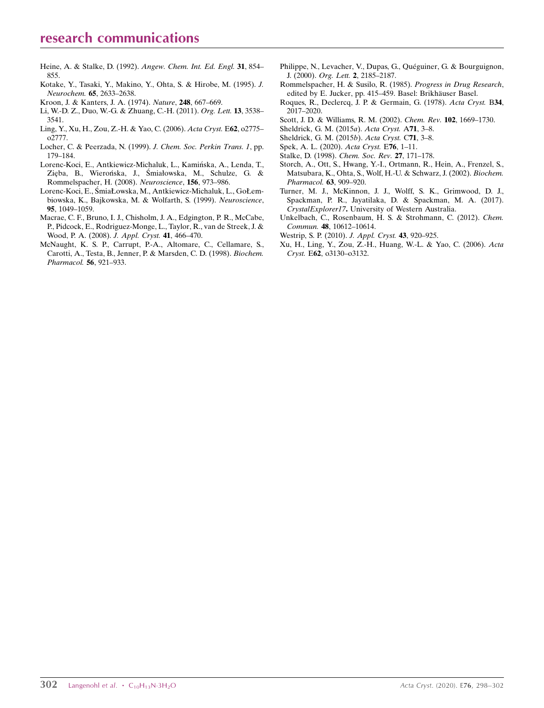# research communications

- [Heine, A. & Stalke, D. \(1992\).](http://scripts.iucr.org/cgi-bin/cr.cgi?rm=pdfbb&cnor=zl2766&bbid=BB32) Angew. Chem. Int. Ed. Engl. 31, 854– [855.](http://scripts.iucr.org/cgi-bin/cr.cgi?rm=pdfbb&cnor=zl2766&bbid=BB32)
- [Kotake, Y., Tasaki, Y., Makino, Y., Ohta, S. & Hirobe, M. \(1995\).](http://scripts.iucr.org/cgi-bin/cr.cgi?rm=pdfbb&cnor=zl2766&bbid=BB12) J. Neurochem. 65[, 2633–2638.](http://scripts.iucr.org/cgi-bin/cr.cgi?rm=pdfbb&cnor=zl2766&bbid=BB12)
- [Kroon, J. & Kanters, J. A. \(1974\).](http://scripts.iucr.org/cgi-bin/cr.cgi?rm=pdfbb&cnor=zl2766&bbid=BB13) Nature, 248, 667–669.
- [Li, W.-D. Z., Duo, W.-G. & Zhuang, C.-H. \(2011\).](http://scripts.iucr.org/cgi-bin/cr.cgi?rm=pdfbb&cnor=zl2766&bbid=BB14) Org. Lett. 13, 3538– [3541.](http://scripts.iucr.org/cgi-bin/cr.cgi?rm=pdfbb&cnor=zl2766&bbid=BB14)
- [Ling, Y., Xu, H., Zou, Z.-H. & Yao, C. \(2006\).](http://scripts.iucr.org/cgi-bin/cr.cgi?rm=pdfbb&cnor=zl2766&bbid=BB15) Acta Cryst. E62, o2775– [o2777.](http://scripts.iucr.org/cgi-bin/cr.cgi?rm=pdfbb&cnor=zl2766&bbid=BB15)
- [Locher, C. & Peerzada, N. \(1999\).](http://scripts.iucr.org/cgi-bin/cr.cgi?rm=pdfbb&cnor=zl2766&bbid=BB16) J. Chem. Soc. Perkin Trans. 1, pp. [179–184.](http://scripts.iucr.org/cgi-bin/cr.cgi?rm=pdfbb&cnor=zl2766&bbid=BB16)
- Lorenc-Koci, E., Antkiewicz-Michaluk, L., Kamińska, A., Lenda, T., Zięba, B., Wierońska, J., Śmiałowska, M., Schulze, G. & [Rommelspacher, H. \(2008\).](http://scripts.iucr.org/cgi-bin/cr.cgi?rm=pdfbb&cnor=zl2766&bbid=BB17) Neuroscience, 156, 973–986.
- Lorenc-Koci, E., ŚmiaŁowska, M., Antkiewicz-Michaluk, L., GoŁem[biowska, K., Bajkowska, M. & Wolfarth, S. \(1999\).](http://scripts.iucr.org/cgi-bin/cr.cgi?rm=pdfbb&cnor=zl2766&bbid=BB18) Neuroscience, 95[, 1049–1059.](http://scripts.iucr.org/cgi-bin/cr.cgi?rm=pdfbb&cnor=zl2766&bbid=BB18)
- [Macrae, C. F., Bruno, I. J., Chisholm, J. A., Edgington, P. R., McCabe,](http://scripts.iucr.org/cgi-bin/cr.cgi?rm=pdfbb&cnor=zl2766&bbid=BB19) [P., Pidcock, E., Rodriguez-Monge, L., Taylor, R., van de Streek, J. &](http://scripts.iucr.org/cgi-bin/cr.cgi?rm=pdfbb&cnor=zl2766&bbid=BB19) [Wood, P. A. \(2008\).](http://scripts.iucr.org/cgi-bin/cr.cgi?rm=pdfbb&cnor=zl2766&bbid=BB19) J. Appl. Cryst. 41, 466–470.
- [McNaught, K. S. P., Carrupt, P.-A., Altomare, C., Cellamare, S.,](http://scripts.iucr.org/cgi-bin/cr.cgi?rm=pdfbb&cnor=zl2766&bbid=BB20) [Carotti, A., Testa, B., Jenner, P. & Marsden, C. D. \(1998\).](http://scripts.iucr.org/cgi-bin/cr.cgi?rm=pdfbb&cnor=zl2766&bbid=BB20) Biochem. [Pharmacol.](http://scripts.iucr.org/cgi-bin/cr.cgi?rm=pdfbb&cnor=zl2766&bbid=BB20) 56, 921–933.
- Philippe, N., Levacher, V., Dupas, G., Quéguiner, G. & Bourguignon, J. (2000). Org. Lett. 2[, 2185–2187.](http://scripts.iucr.org/cgi-bin/cr.cgi?rm=pdfbb&cnor=zl2766&bbid=BB21)
- [Rommelspacher, H. & Susilo, R. \(1985\).](http://scripts.iucr.org/cgi-bin/cr.cgi?rm=pdfbb&cnor=zl2766&bbid=BB22) Progress in Drug Research, edited by E. Jucker, pp. 415–459. Basel: Brikhäuser Basel.
- [Roques, R., Declercq, J. P. & Germain, G. \(1978\).](http://scripts.iucr.org/cgi-bin/cr.cgi?rm=pdfbb&cnor=zl2766&bbid=BB23) Acta Cryst. B34, [2017–2020.](http://scripts.iucr.org/cgi-bin/cr.cgi?rm=pdfbb&cnor=zl2766&bbid=BB23)
- [Scott, J. D. & Williams, R. M. \(2002\).](http://scripts.iucr.org/cgi-bin/cr.cgi?rm=pdfbb&cnor=zl2766&bbid=BB24) Chem. Rev. 102, 1669–1730.
- [Sheldrick, G. M. \(2015](http://scripts.iucr.org/cgi-bin/cr.cgi?rm=pdfbb&cnor=zl2766&bbid=BB25)a). Acta Cryst. A71, 3–8.
- [Sheldrick, G. M. \(2015](http://scripts.iucr.org/cgi-bin/cr.cgi?rm=pdfbb&cnor=zl2766&bbid=BB26)b). Acta Cryst. C71, 3–8.
- [Spek, A. L. \(2020\).](http://scripts.iucr.org/cgi-bin/cr.cgi?rm=pdfbb&cnor=zl2766&bbid=BB27) Acta Cryst. E76, 1–11.
- [Stalke, D. \(1998\).](http://scripts.iucr.org/cgi-bin/cr.cgi?rm=pdfbb&cnor=zl2766&bbid=BB28) Chem. Soc. Rev. 27, 171–178.
- [Storch, A., Ott, S., Hwang, Y.-I., Ortmann, R., Hein, A., Frenzel, S.,](http://scripts.iucr.org/cgi-bin/cr.cgi?rm=pdfbb&cnor=zl2766&bbid=BB29) [Matsubara, K., Ohta, S., Wolf, H.-U. & Schwarz, J. \(2002\).](http://scripts.iucr.org/cgi-bin/cr.cgi?rm=pdfbb&cnor=zl2766&bbid=BB29) Biochem. [Pharmacol.](http://scripts.iucr.org/cgi-bin/cr.cgi?rm=pdfbb&cnor=zl2766&bbid=BB29) 63, 909–920.
- [Turner, M. J., McKinnon, J. J., Wolff, S. K., Grimwood, D. J.,](http://scripts.iucr.org/cgi-bin/cr.cgi?rm=pdfbb&cnor=zl2766&bbid=BB30) [Spackman, P. R., Jayatilaka, D. & Spackman, M. A. \(2017\).](http://scripts.iucr.org/cgi-bin/cr.cgi?rm=pdfbb&cnor=zl2766&bbid=BB30) CrystalExplorer17. [University of Western Australia.](http://scripts.iucr.org/cgi-bin/cr.cgi?rm=pdfbb&cnor=zl2766&bbid=BB30)
- [Unkelbach, C., Rosenbaum, H. S. & Strohmann, C. \(2012\).](http://scripts.iucr.org/cgi-bin/cr.cgi?rm=pdfbb&cnor=zl2766&bbid=BB31) Chem. Commun. 48[, 10612–10614.](http://scripts.iucr.org/cgi-bin/cr.cgi?rm=pdfbb&cnor=zl2766&bbid=BB31)
- [Westrip, S. P. \(2010\).](http://scripts.iucr.org/cgi-bin/cr.cgi?rm=pdfbb&cnor=zl2766&bbid=BB32) J. Appl. Cryst. 43, 920-925.
- [Xu, H., Ling, Y., Zou, Z.-H., Huang, W.-L. & Yao, C. \(2006\).](http://scripts.iucr.org/cgi-bin/cr.cgi?rm=pdfbb&cnor=zl2766&bbid=BB33) Acta Cryst. E62[, o3130–o3132.](http://scripts.iucr.org/cgi-bin/cr.cgi?rm=pdfbb&cnor=zl2766&bbid=BB33)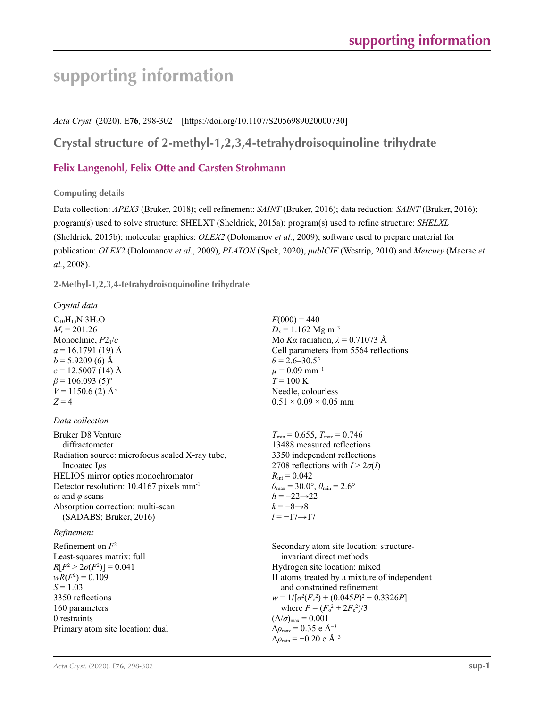# **supporting information**

*Acta Cryst.* (2020). E**76**, 298-302 [https://doi.org/10.1107/S2056989020000730]

# **Crystal structure of 2-methyl-1,2,3,4-tetrahydroisoquinoline trihydrate**

# **Felix Langenohl, Felix Otte and Carsten Strohmann**

## **Computing details**

Data collection: *APEX3* (Bruker, 2018); cell refinement: *SAINT* (Bruker, 2016); data reduction: *SAINT* (Bruker, 2016); program(s) used to solve structure: SHELXT (Sheldrick, 2015a); program(s) used to refine structure: *SHELXL* (Sheldrick, 2015b); molecular graphics: *OLEX2* (Dolomanov *et al.*, 2009); software used to prepare material for publication: *OLEX2* (Dolomanov *et al.*, 2009), *PLATON* (Spek, 2020), *publCIF* (Westrip, 2010) and *Mercury* (Macrae *et al.*, 2008).

**2-Methyl-1,2,3,4-tetrahydroisoquinoline trihydrate** 

## *Crystal data*

 $C_{10}H_{13}N·3H_2O$  $M_r = 201.26$ Monoclinic, *P*21/*c*  $a = 16.1791(19)$  Å  $b = 5.9209(6)$  Å  $c = 12.5007(14)$  Å  $\beta$  = 106.093 (5)<sup>°</sup>  $V = 1150.6$  (2) Å<sup>3</sup>  $Z = 4$ 

## *Data collection*

Bruker D8 Venture diffractometer Radiation source: microfocus sealed X-ray tube, Incoatec I*µ*s HELIOS mirror optics monochromator Detector resolution: 10.4167 pixels mm-1 *ω* and *φ* scans Absorption correction: multi-scan (SADABS; Bruker, 2016)

## *Refinement*

Refinement on *F*<sup>2</sup> Least-squares matrix: full *R*[ $F^2 > 2\sigma(F^2)$ ] = 0.041  $wR(F^2) = 0.109$  $S = 1.03$ 3350 reflections 160 parameters 0 restraints Primary atom site location: dual  $F(000) = 440$  $D_x = 1.162$  Mg m<sup>-3</sup> Mo *Kα* radiation,  $\lambda = 0.71073$  Å Cell parameters from 5564 reflections  $\theta$  = 2.6–30.5°  $\mu$  = 0.09 mm<sup>-1</sup>  $T = 100 \text{ K}$ Needle, colourless  $0.51 \times 0.09 \times 0.05$  mm

 $T_{\text{min}} = 0.655$ ,  $T_{\text{max}} = 0.746$ 13488 measured reflections 3350 independent reflections 2708 reflections with  $I > 2\sigma(I)$  $R_{\text{int}} = 0.042$  $\theta_{\text{max}} = 30.0^{\circ}, \theta_{\text{min}} = 2.6^{\circ}$ *h* = −22→22  $k = -8 \rightarrow 8$ *l* = −17→17

Secondary atom site location: structureinvariant direct methods Hydrogen site location: mixed H atoms treated by a mixture of independent and constrained refinement  $w = 1/[\sigma^2 (F_o^2) + (0.045P)^2 + 0.3326P]$ where  $P = (F_o^2 + 2F_c^2)/3$  $(\Delta/\sigma)_{\text{max}} = 0.001$ Δ*ρ*max = 0.35 e Å−3  $\Delta\rho_{\rm min}$  = −0.20 e Å<sup>-3</sup>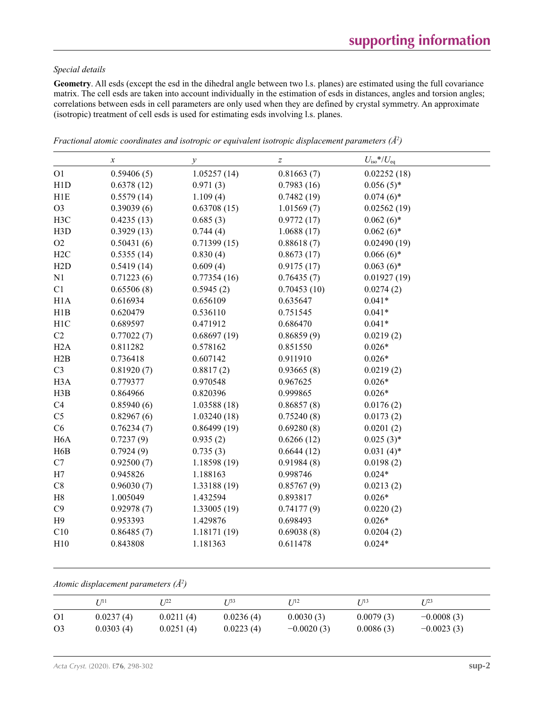## *Special details*

**Geometry**. All esds (except the esd in the dihedral angle between two l.s. planes) are estimated using the full covariance matrix. The cell esds are taken into account individually in the estimation of esds in distances, angles and torsion angles; correlations between esds in cell parameters are only used when they are defined by crystal symmetry. An approximate (isotropic) treatment of cell esds is used for estimating esds involving l.s. planes.

|                  | $\boldsymbol{\chi}$ | $\mathcal{Y}$ | $\boldsymbol{Z}$ | $U_{\rm iso}$ */ $U_{\rm eq}$ |
|------------------|---------------------|---------------|------------------|-------------------------------|
| O <sub>1</sub>   | 0.59406(5)          | 1.05257(14)   | 0.81663(7)       | 0.02252(18)                   |
| H1D              | 0.6378(12)          | 0.971(3)      | 0.7983(16)       | $0.056(5)$ *                  |
| H1E              | 0.5579(14)          | 1.109(4)      | 0.7482(19)       | $0.074(6)*$                   |
| O <sub>3</sub>   | 0.39039(6)          | 0.63708(15)   | 1.01569(7)       | 0.02562(19)                   |
| H3C              | 0.4235(13)          | 0.685(3)      | 0.9772(17)       | $0.062(6)*$                   |
| H <sub>3</sub> D | 0.3929(13)          | 0.744(4)      | 1.0688(17)       | $0.062(6)*$                   |
| O2               | 0.50431(6)          | 0.71399(15)   | 0.88618(7)       | 0.02490(19)                   |
| H2C              | 0.5355(14)          | 0.830(4)      | 0.8673(17)       | $0.066(6)$ *                  |
| H2D              | 0.5419(14)          | 0.609(4)      | 0.9175(17)       | $0.063(6)*$                   |
| N1               | 0.71223(6)          | 0.77354(16)   | 0.76435(7)       | 0.01927(19)                   |
| C1               | 0.65506(8)          | 0.5945(2)     | 0.70453(10)      | 0.0274(2)                     |
| H1A              | 0.616934            | 0.656109      | 0.635647         | $0.041*$                      |
| H1B              | 0.620479            | 0.536110      | 0.751545         | $0.041*$                      |
| H <sub>1</sub> C | 0.689597            | 0.471912      | 0.686470         | $0.041*$                      |
| C2               | 0.77022(7)          | 0.68697(19)   | 0.86859(9)       | 0.0219(2)                     |
| H2A              | 0.811282            | 0.578162      | 0.851550         | $0.026*$                      |
| H2B              | 0.736418            | 0.607142      | 0.911910         | $0.026*$                      |
| C <sub>3</sub>   | 0.81920(7)          | 0.8817(2)     | 0.93665(8)       | 0.0219(2)                     |
| H <sub>3</sub> A | 0.779377            | 0.970548      | 0.967625         | $0.026*$                      |
| H3B              | 0.864966            | 0.820396      | 0.999865         | $0.026*$                      |
| C4               | 0.85940(6)          | 1.03588(18)   | 0.86857(8)       | 0.0176(2)                     |
| C <sub>5</sub>   | 0.82967(6)          | 1.03240(18)   | 0.75240(8)       | 0.0173(2)                     |
| C6               | 0.76234(7)          | 0.86499(19)   | 0.69280(8)       | 0.0201(2)                     |
| H <sub>6</sub> A | 0.7237(9)           | 0.935(2)      | 0.6266(12)       | $0.025(3)$ *                  |
| H <sub>6</sub> B | 0.7924(9)           | 0.735(3)      | 0.6644(12)       | $0.031(4)$ *                  |
| C7               | 0.92500(7)          | 1.18598 (19)  | 0.91984(8)       | 0.0198(2)                     |
| H7               | 0.945826            | 1.188163      | 0.998746         | $0.024*$                      |
| C8               | 0.96030(7)          | 1.33188 (19)  | 0.85767(9)       | 0.0213(2)                     |
| H8               | 1.005049            | 1.432594      | 0.893817         | $0.026*$                      |
| C9               | 0.92978(7)          | 1.33005(19)   | 0.74177(9)       | 0.0220(2)                     |
| H9               | 0.953393            | 1.429876      | 0.698493         | $0.026*$                      |
| C10              | 0.86485(7)          | 1.18171 (19)  | 0.69038(8)       | 0.0204(2)                     |
| H10              | 0.843808            | 1.181363      | 0.611478         | $0.024*$                      |

*Fractional atomic coordinates and isotropic or equivalent isotropic displacement parameters (Å<sup>2</sup>)* 

*Atomic displacement parameters (Å2 )*

|                | 7 71 1    | T 122     | T 133     | I 112        | T 713     | I/23         |
|----------------|-----------|-----------|-----------|--------------|-----------|--------------|
| O <sub>1</sub> | 0.0237(4) | 0.0211(4) | 0.0236(4) | 0.0030(3)    | 0.0079(3) | $-0.0008(3)$ |
| O <sub>3</sub> | 0.0303(4) | 0.0251(4) | 0.0223(4) | $-0.0020(3)$ | 0.0086(3) | $-0.0023(3)$ |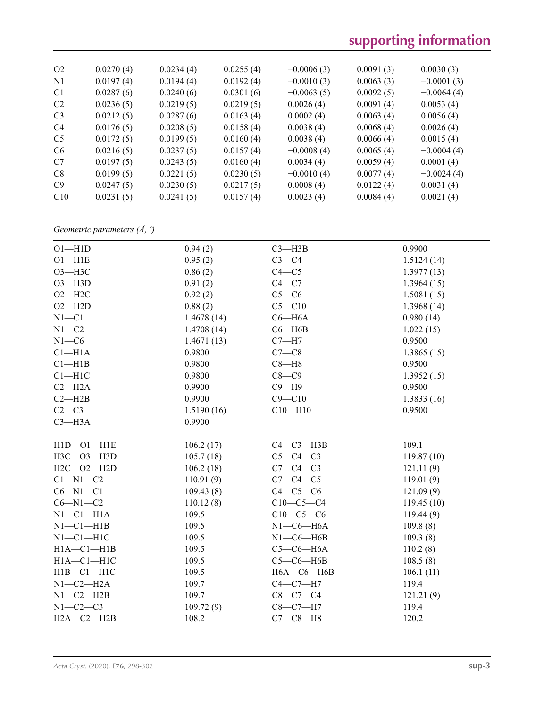# **supporting information**

| O <sub>2</sub> | 0.0270(4) | 0.0234(4) | 0.0255(4) | $-0.0006(3)$ | 0.0091(3) | 0.0030(3)    |
|----------------|-----------|-----------|-----------|--------------|-----------|--------------|
| N <sub>1</sub> | 0.0197(4) | 0.0194(4) | 0.0192(4) | $-0.0010(3)$ | 0.0063(3) | $-0.0001(3)$ |
| C <sub>1</sub> | 0.0287(6) | 0.0240(6) | 0.0301(6) | $-0.0063(5)$ | 0.0092(5) | $-0.0064(4)$ |
| C <sub>2</sub> | 0.0236(5) | 0.0219(5) | 0.0219(5) | 0.0026(4)    | 0.0091(4) | 0.0053(4)    |
| C <sub>3</sub> | 0.0212(5) | 0.0287(6) | 0.0163(4) | 0.0002(4)    | 0.0063(4) | 0.0056(4)    |
| C <sub>4</sub> | 0.0176(5) | 0.0208(5) | 0.0158(4) | 0.0038(4)    | 0.0068(4) | 0.0026(4)    |
| C <sub>5</sub> | 0.0172(5) | 0.0199(5) | 0.0160(4) | 0.0038(4)    | 0.0066(4) | 0.0015(4)    |
| C <sub>6</sub> | 0.0216(5) | 0.0237(5) | 0.0157(4) | $-0.0008(4)$ | 0.0065(4) | $-0.0004(4)$ |
| C7             | 0.0197(5) | 0.0243(5) | 0.0160(4) | 0.0034(4)    | 0.0059(4) | 0.0001(4)    |
| C8             | 0.0199(5) | 0.0221(5) | 0.0230(5) | $-0.0010(4)$ | 0.0077(4) | $-0.0024(4)$ |
| C9             | 0.0247(5) | 0.0230(5) | 0.0217(5) | 0.0008(4)    | 0.0122(4) | 0.0031(4)    |
| C10            | 0.0231(5) | 0.0241(5) | 0.0157(4) | 0.0023(4)    | 0.0084(4) | 0.0021(4)    |
|                |           |           |           |              |           |              |

*Geometric parameters (Å, º)*

| $O1 - H1D$       | 0.94(2)    | $C3 - H3B$       | 0.9900     |
|------------------|------------|------------------|------------|
| $O1 - H1E$       | 0.95(2)    | $C3-C4$          | 1.5124(14) |
| $O3 - H3C$       | 0.86(2)    | $C4 - C5$        | 1.3977(13) |
| $O3 - H3D$       | 0.91(2)    | $C4 - C7$        | 1.3964(15) |
| $O2 - H2C$       | 0.92(2)    | $C5-C6$          | 1.5081(15) |
| $O2 - H2D$       | 0.88(2)    | $C5 - C10$       | 1.3968(14) |
| $N1 - C1$        | 1.4678(14) | $C6 - H6A$       | 0.980(14)  |
| $N1 - C2$        | 1.4708(14) | $C6 - H6B$       | 1.022(15)  |
| $N1 - C6$        | 1.4671(13) | $C7 - H7$        | 0.9500     |
| $Cl-H1A$         | 0.9800     | $C7-C8$          | 1.3865(15) |
| Cl—H1B           | 0.9800     | $C8 - H8$        | 0.9500     |
| $C1 - H1C$       | 0.9800     | $C8-C9$          | 1.3952(15) |
| $C2 - H2A$       | 0.9900     | $C9 - H9$        | 0.9500     |
| $C2 - H2B$       | 0.9900     | $C9 - C10$       | 1.3833(16) |
| $C2-C3$          | 1.5190(16) | $C10 - H10$      | 0.9500     |
| $C3 - H3A$       | 0.9900     |                  |            |
|                  |            |                  |            |
| $H1D - O1 - H1E$ | 106.2(17)  | $C4-C3-H3B$      | 109.1      |
| H3C-03-H3D       | 105.7(18)  | $C5-C4-C3$       | 119.87(10) |
| $H2C - O2 - H2D$ | 106.2(18)  | $C7-C4-C3$       | 121.11(9)  |
| $C1 - N1 - C2$   | 110.91(9)  | $C7-C4-C5$       | 119.01(9)  |
| $C6 - N1 - C1$   | 109.43(8)  | $C4-C5-C6$       | 121.09(9)  |
| $C6 - N1 - C2$   | 110.12(8)  | $C10-C5-C4$      | 119.45(10) |
| $N1-C1-H1A$      | 109.5      | $C10-C5-C6$      | 119.44(9)  |
| $N1-C1-H1B$      | 109.5      | $N1-C6-H6A$      | 109.8(8)   |
| $N1-C1-H1C$      | 109.5      | $N1-C6-H6B$      | 109.3(8)   |
| $H1A - C1 - H1B$ | 109.5      | $C5-C6-H6A$      | 110.2(8)   |
| $H1A - C1 - H1C$ | 109.5      | $C5-C6-HAB$      | 108.5(8)   |
| $H1B - C1 - H1C$ | 109.5      | $H6A - C6 - H6B$ | 106.1(11)  |
| $N1-C2-H2A$      | 109.7      | $C4-C7-H7$       | 119.4      |
| $N1-C2-H2B$      | 109.7      | $C8-C7-C4$       | 121.21(9)  |
| $N1-C2-C3$       | 109.72(9)  | $C8-C7-H7$       | 119.4      |
| $H2A - C2 - H2B$ | 108.2      | $C7-C8-H8$       | 120.2      |